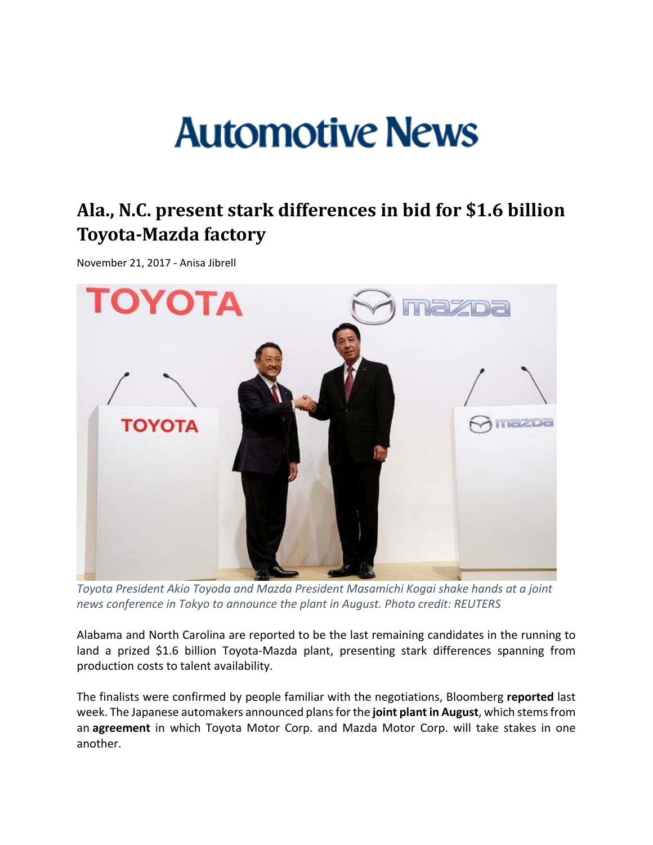# **Automotive News**

## **Ala., N.C. present stark differences in bid for \$1.6 billion Toyota‐Mazda factory**

November 21, 2017 ‐ Anisa Jibrell



*Toyota President Akio Toyoda and Mazda President Masamichi Kogai shake hands at a joint news conference in Tokyo to announce the plant in August. Photo credit: REUTERS*

Alabama and North Carolina are reported to be the last remaining candidates in the running to land a prized \$1.6 billion Toyota-Mazda plant, presenting stark differences spanning from production costs to talent availability.

The finalists were confirmed by people familiar with the negotiations, Bloomberg **reported** last week. The Japanese automakers announced plansfor the **joint plantin August**, which stemsfrom an **agreement** in which Toyota Motor Corp. and Mazda Motor Corp. will take stakes in one another.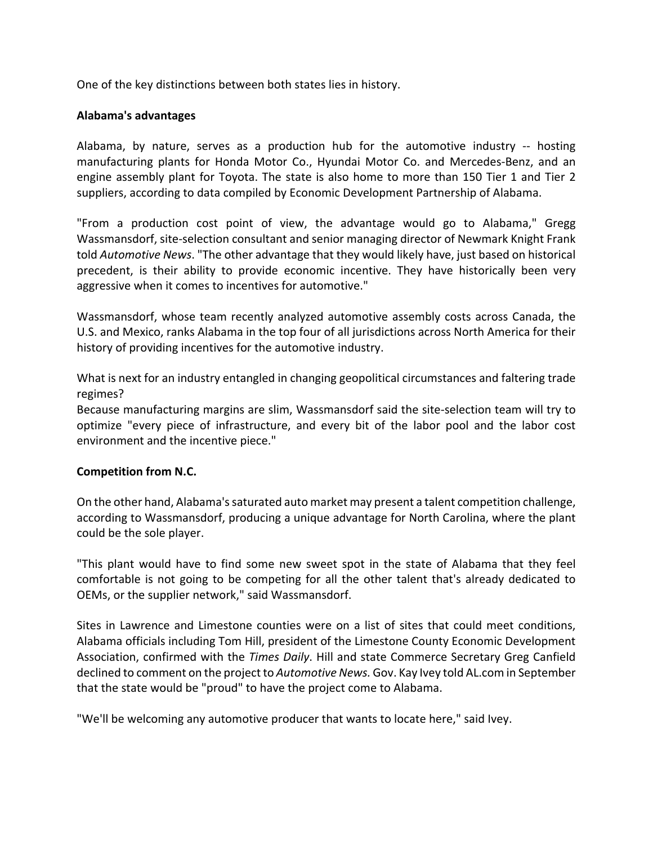One of the key distinctions between both states lies in history.

#### **Alabama's advantages**

Alabama, by nature, serves as a production hub for the automotive industry ‐‐ hosting manufacturing plants for Honda Motor Co., Hyundai Motor Co. and Mercedes‐Benz, and an engine assembly plant for Toyota. The state is also home to more than 150 Tier 1 and Tier 2 suppliers, according to data compiled by Economic Development Partnership of Alabama.

"From a production cost point of view, the advantage would go to Alabama," Gregg Wassmansdorf, site‐selection consultant and senior managing director of Newmark Knight Frank told *Automotive News*. "The other advantage that they would likely have, just based on historical precedent, is their ability to provide economic incentive. They have historically been very aggressive when it comes to incentives for automotive."

Wassmansdorf, whose team recently analyzed automotive assembly costs across Canada, the U.S. and Mexico, ranks Alabama in the top four of all jurisdictions across North America for their history of providing incentives for the automotive industry.

What is next for an industry entangled in changing geopolitical circumstances and faltering trade regimes?

Because manufacturing margins are slim, Wassmansdorf said the site‐selection team will try to optimize "every piece of infrastructure, and every bit of the labor pool and the labor cost environment and the incentive piece."

#### **Competition from N.C.**

On the other hand, Alabama'ssaturated auto market may present a talent competition challenge, according to Wassmansdorf, producing a unique advantage for North Carolina, where the plant could be the sole player.

"This plant would have to find some new sweet spot in the state of Alabama that they feel comfortable is not going to be competing for all the other talent that's already dedicated to OEMs, or the supplier network," said Wassmansdorf.

Sites in Lawrence and Limestone counties were on a list of sites that could meet conditions, Alabama officials including Tom Hill, president of the Limestone County Economic Development Association, confirmed with the *Times Daily*. Hill and state Commerce Secretary Greg Canfield declined to comment on the project to *Automotive News.* Gov. Kay Ivey told AL.com in September that the state would be "proud" to have the project come to Alabama.

"We'll be welcoming any automotive producer that wants to locate here," said Ivey.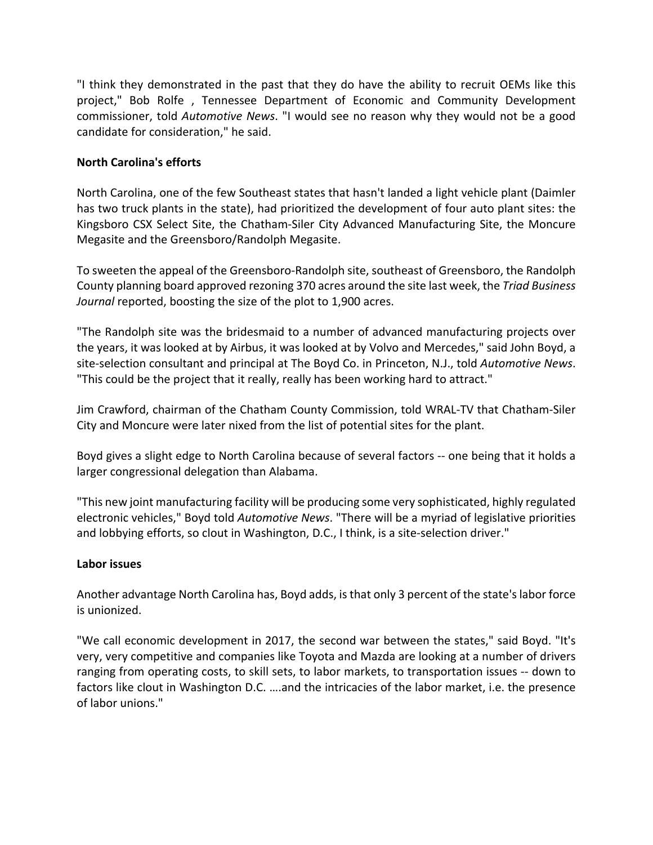"I think they demonstrated in the past that they do have the ability to recruit OEMs like this project," Bob Rolfe , Tennessee Department of Economic and Community Development commissioner, told *Automotive News*. "I would see no reason why they would not be a good candidate for consideration," he said.

### **North Carolina's efforts**

North Carolina, one of the few Southeast states that hasn't landed a light vehicle plant (Daimler has two truck plants in the state), had prioritized the development of four auto plant sites: the Kingsboro CSX Select Site, the Chatham‐Siler City Advanced Manufacturing Site, the Moncure Megasite and the Greensboro/Randolph Megasite.

To sweeten the appeal of the Greensboro‐Randolph site, southeast of Greensboro, the Randolph County planning board approved rezoning 370 acres around the site last week, the *Triad Business Journal* reported, boosting the size of the plot to 1,900 acres.

"The Randolph site was the bridesmaid to a number of advanced manufacturing projects over the years, it was looked at by Airbus, it was looked at by Volvo and Mercedes," said John Boyd, a site‐selection consultant and principal at The Boyd Co. in Princeton, N.J., told *Automotive News*. "This could be the project that it really, really has been working hard to attract."

Jim Crawford, chairman of the Chatham County Commission, told WRAL‐TV that Chatham‐Siler City and Moncure were later nixed from the list of potential sites for the plant.

Boyd gives a slight edge to North Carolina because of several factors ‐‐ one being that it holds a larger congressional delegation than Alabama.

"This new joint manufacturing facility will be producing some very sophisticated, highly regulated electronic vehicles," Boyd told *Automotive News*. "There will be a myriad of legislative priorities and lobbying efforts, so clout in Washington, D.C., I think, is a site-selection driver."

#### **Labor issues**

Another advantage North Carolina has, Boyd adds, isthat only 3 percent of the state'slabor force is unionized.

"We call economic development in 2017, the second war between the states," said Boyd. "It's very, very competitive and companies like Toyota and Mazda are looking at a number of drivers ranging from operating costs, to skill sets, to labor markets, to transportation issues ‐‐ down to factors like clout in Washington D.C. ….and the intricacies of the labor market, i.e. the presence of labor unions."